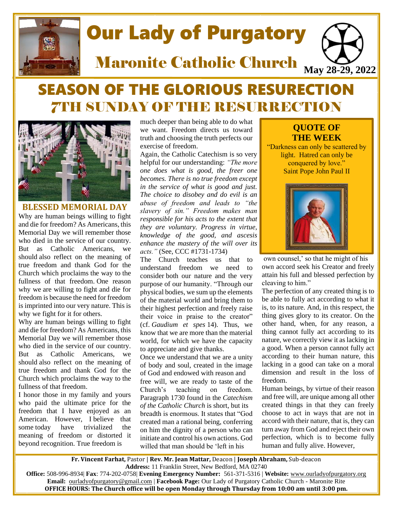

# SEASON OF THE GLORIOUS RESURECTION 7TH SUNDAY OF THE RESURRECTION



**BLESSED MEMORIAL DAY** Why are human beings willing to fight and die for freedom? As Americans, this Memorial Day we will remember those who died in the service of our country. But as Catholic Americans, we should also reflect on the meaning of true freedom and thank God for the Church which proclaims the way to the fullness of that freedom. One reason why we are willing to fight and die for freedom is because the need for freedom is imprinted into our very nature. This is why we fight for it for others.

Why are human beings willing to fight and die for freedom? As Americans, this Memorial Day we will remember those who died in the service of our country. But as Catholic Americans, we should also reflect on the meaning of true freedom and thank God for the Church which proclaims the way to the fullness of that freedom.

I honor those in my family and yours who paid the ultimate price for the freedom that I have enjoyed as an American. However, I believe that some today have trivialized the meaning of freedom or distorted it beyond recognition. True freedom is

much deeper than being able to do what we want. Freedom directs us toward truth and choosing the truth perfects our exercise of freedom.

Again, the Catholic Catechism is so very helpful for our understanding: *"The more one does what is good, the freer one becomes. There is no true freedom except in the service of what is good and just. The choice to disobey and do evil is an abuse of freedom and leads to "the slavery of sin." Freedom makes man responsible for his acts to the extent that they are voluntary. Progress in virtue, knowledge of the good, and ascesis enhance the mastery of the will over its acts."* (See, CCC #1731-1734)

The Church teaches us that to understand freedom we need to consider both our nature and the very purpose of our humanity. "Through our physical bodies, we sum up the elements of the material world and bring them to their highest perfection and freely raise their voice in praise to the creator" (cf. *Gaudium et spes* 14). Thus, we know that we are more than the material world, for which we have the capacity to appreciate and give thanks.

Once we understand that we are a unity of body and soul, created in the image of God and endowed with reason and free will, we are ready to taste of the Church's teaching on freedom. Paragraph 1730 found in the *Catechism of the Catholic Church* is short, but its breadth is enormous. It states that "God created man a rational being, conferring on him the dignity of a person who can initiate and control his own actions. God willed that man should be 'left in his

## **QUOTE OF THE WEEK**

"Darkness can only be scattered by light. Hatred can only be conquered by love." Saint Pope John Paul II



own counsel,' so that he might of his own accord seek his Creator and freely attain his full and blessed perfection by cleaving to him."

The perfection of any created thing is to be able to fully act according to what it is, to its nature. And, in this respect, the thing gives glory to its creator. On the other hand, when, for any reason, a thing cannot fully act according to its nature, we correctly view it as lacking in a good. When a person cannot fully act according to their human nature, this lacking in a good can take on a moral dimension and result in the loss of freedom.

Human beings, by virtue of their reason and free will, are unique among all other created things in that they can freely choose to act in ways that are not in accord with their nature, that is, they can turn away from God and reject their own perfection, which is to become fully human and fully alive. However,

**Fr. Vincent Farhat,** Pastor | **Rev. Mr. Jean Mattar,** Deacon | **Joseph Abraham,** Sub-deacon **Address:** 11 Franklin Street, New Bedford, MA 02740

**Office:** 508-996-8934| **Fax**: 774-202-0758| **Evening Emergency Number:** 561-371-5316 | **Website:** [www.ourladyofpurgatory.org](http://www.ourladyofpurgatory.org/) **Email:** [ourladyofpurgatory@gmail.com](mailto:ourladyofpurgatory@verizon.net) | **Facebook Page:** Our Lady of Purgatory Catholic Church - Maronite Rite **OFFICE HOURS: The Church office will be open Monday through Thursday from 10:00 am until 3:00 pm.**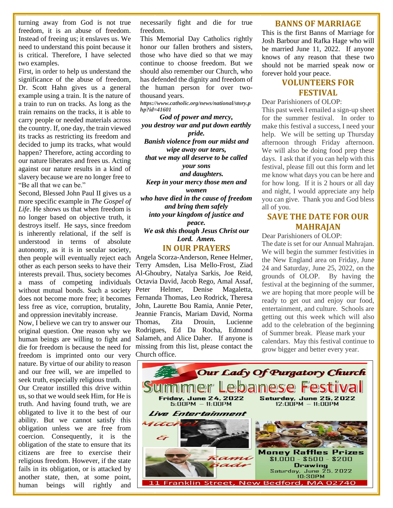turning away from God is not true freedom, it is an abuse of freedom. Instead of freeing us; it enslaves us. We need to understand this point because it is critical. Therefore, I have selected two examples.

First, in order to help us understand the significance of the abuse of freedom, Dr. Scott Hahn gives us a general example using a train. It is the nature of a train to run on tracks. As long as the train remains on the tracks, it is able to carry people or needed materials across the country. If, one day, the train viewed its tracks as restricting its freedom and decided to jump its tracks, what would happen? Therefore, acting according to our nature liberates and frees us. Acting against our nature results in a kind of slavery because we are no longer free to "Be all that we can be."

Second, Blessed John Paul II gives us a more specific example in *The Gospel of Life*. He shows us that when freedom is no longer based on objective truth, it destroys itself. He says, since freedom is inherently relational, if the self is understood in terms of absolute autonomy, as it is in secular society, then people will eventually reject each other as each person seeks to have their without mutual bonds. Such a society does not become more free; it becomes less free as vice, corruption, brutality, and oppression inevitably increase.

human beings are willing to fight and freedom is imprinted onto our very Church office. nature. By virtue of our ability to reason and our free will, we are impelled to seek truth, especially religious truth.

Our Creator instilled this drive within us, so that we would seek Him, for He is truth. And having found truth, we are obligated to live it to the best of our ability. But we cannot satisfy this obligation unless we are free from coercion. Consequently, it is the obligation of the state to ensure that its citizens are free to exercise their religious freedom. However, if the state fails in its obligation, or is attacked by another state, then, at some point, human beings will rightly and

necessarily fight and die for true freedom.

This Memorial Day Catholics rightly honor our fallen brothers and sisters, those who have died so that we may continue to choose freedom. But we should also remember our Church, who has defended the dignity and freedom of the human person for over twothousand years.

*[https://www.c](https://www/)atholic.org/news/national/story.p hp?id=41601*

*God of power and mercy, you destroy war and put down earthly pride. Banish violence from our midst and wipe away our tears, that we may all deserve to be called your sons and daughters. Keep in your mercy those men and women who have died in the cause of freedom and bring them safely into your kingdom of justice and peace. We ask this though Jesus Christ our Lord. Amen.*

#### **IN OUR PRAYERS**

interests prevail. Thus, society becomes Al-Ghoubry, Natalya Sarkis, Joe Reid, a mass of competing individuals Octavia David, Jacob Rego, Amal Assaf, Now, I believe we can try to answer our Thomas, Zita Drouin, Lucienne original question. One reason why we Rodrigues, Ed Da Rocha, Edmond die for freedom is because the need for missing from this list, please contact the Angela Scorza-Anderson, Renee Helmer, Terry Amsden, Lisa Mello-Frost, Ziad Peter Helmer, Denise Magaletta, Fernanda Thomas, Leo Rodrick, Theresa John, Laurette Bou Ramia, Annie Peter, Jeannie Francis, Mariam David, Norma Salameh, and Alice Daher. If anyone is

#### **BANNS OF MARRIAGE**

This is the first Banns of Marriage for Josh Barbour and Rafka Hage who will be married June 11, 2022. If anyone knows of any reason that these two should not be married speak now or forever hold your peace.

## **VOLUNTEERS FOR FESTIVAL**

Dear Parishioners of OLOP:

This past week I emailed a sign-up sheet for the summer festival. In order to make this festival a success, I need your help. We will be setting up Thursday afternoon through Friday afternoon. We will also be doing food prep these days. I ask that if you can help with this festival, please fill out this form and let me know what days you can be here and for how long. If it is 2 hours or all day and night, I would appreciate any help you can give. Thank you and God bless all of you.

## **SAVE THE DATE FOR OUR MAHRAJAN**

Dear Parishioners of OLOP:

The date is set for our Annual Mahrajan. We will begin the summer festivities in the New England area on Friday, June 24 and Saturday, June 25, 2022, on the grounds of OLOP. By having the festival at the beginning of the summer, we are hoping that more people will be ready to get out and enjoy our food, entertainment, and culture. Schools are getting out this week which will also add to the celebration of the beginning of Summer break. Please mark your calendars. May this festival continue to grow bigger and better every year.

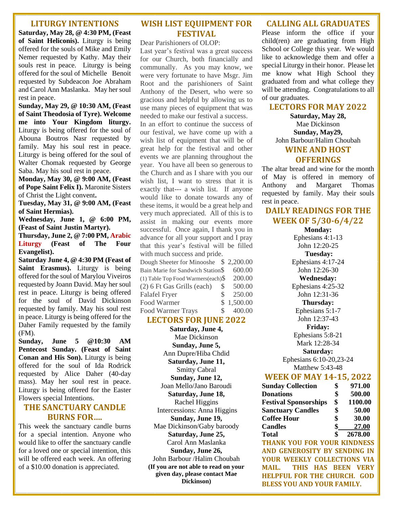#### **LITURGY INTENTIONS**

**Saturday, May 28, @ 4:30 PM, (Feast of Saint Heliconis).** Liturgy is being offered for the souls of Mike and Emily Nemer requested by Kathy. May their souls rest in peace. Liturgy is being offered for the soul of Michelle Benoit requested by Subdeacon Joe Abraham and Carol Ann Maslanka. May her soul rest in peace.

**Sunday, May 29, @ 10:30 AM, (Feast of Saint Theodosia of Tyre). Welcome me into Your Kingdom liturgy.** Liturgy is being offered for the soul of Abouna Boutros Nasr requested by family. May his soul rest in peace. Liturgy is being offered for the soul of Walter Chomak requested by George Saba. May his soul rest in peace.

**Monday, May 30, @ 9:00 AM, (Feast of Pope Saint Felix I).** Maronite Sisters of Christ the Light convent**.**

**Tuesday, May 31, @ 9:00 AM, (Feast of Saint Hermias).**

**Wednesday, June 1, @ 6:00 PM, (Feast of Saint Justin Martyr).**

**Thursday, June 2, @ 7:00 PM, Arabic Liturgy (Feast of The Four Evangelist).**

**Saturday June 4, @ 4:30 PM (Feast of Saint Erasmus).** Liturgy is being offered for the soul of Marylou Viveiros requested by Joann David. May her soul rest in peace. Liturgy is being offered for the soul of David Dickinson requested by family. May his soul rest in peace. Liturgy is being offered for the Daher Family requested by the family (FM).

**Sunday, June 5 @10:30 AM Pentecost Sunday. (Feast of Saint Conan and His Son).** Liturgy is being offered for the soul of Ida Rodrick requested by Alice Daher (40-day mass). May her soul rest in peace. Liturgy is being offered for the Easter Flowers special Intentions.

### **THE SANCTUARY CANDLE BURNS FOR….**

This week the sanctuary candle burns for a special intention. Anyone who would like to offer the sanctuary candle for a loved one or special intention, this will be offered each week. An offering of a \$10.00 donation is appreciated.

## **WISH LIST EQUIPMENT FOR FESTIVAL**

Dear Parishioners of OLOP:

Last year's festival was a great success for our Church, both financially and communally. As you may know, we were very fortunate to have Msgr. Jim Root and the parishioners of Saint Anthony of the Desert, who were so gracious and helpful by allowing us to use many pieces of equipment that was needed to make our festival a success.

In an effort to continue the success of our festival, we have come up with a wish list of equipment that will be of great help for the festival and other events we are planning throughout the year. You have all been so generous to the Church and as I share with you our wish list, I want to stress that it is exactly that--- a wish list. If anyone would like to donate towards any of these items, it would be a great help and very much appreciated. All of this is to assist in making our events more successful. Once again, I thank you in advance for all your support and I pray that this year's festival will be filled with much success and pride.

| Dough Sheeter for Minooshe \$2,200.00 |    |            |
|---------------------------------------|----|------------|
| Bain Marie for Sandwich Station\$     |    | 600.00     |
| (1) Table Top Food Warmers(each) $\$  |    | 200.00     |
| (2) 6 Ft Gas Grills (each)            | S  | 500.00     |
| <b>Falafel Fryer</b>                  | S  | 250.00     |
| Food Warmer                           |    | \$1,500.00 |
| <b>Food Warmer Trays</b>              | S. | 400.00     |

#### **LECTORS FOR JUNE 2022**

**Saturday, June 4,**  Mae Dickinson **Sunday, June 5,**  Ann Dupre/Hiba Chdid **Saturday, June 11,**  Smitty Cabral **Sunday, June 12,**  Joan Mello/Jano Baroudi **Saturday, June 18,**  Rachel Higgins Intercessions: Anna Higgins **Sunday, June 19,**  Mae Dickinson/Gaby baroody **Saturday, June 25,**  Carol Ann Maslanka **Sunday, June 26,**  John Barbour /Halim Choubah **(If you are not able to read on your given day, please contact Mae Dickinson)**

#### **CALLING ALL GRADUATES**

Please inform the office if your child(ren) are graduating from High School or College this year. We would like to acknowledge them and offer a special Liturgy in their honor. Please let me know what High School they graduated from and what college they will be attending. Congratulations to all of our graduates.

#### **LECTORS FOR MAY 2022**

**Saturday, May 28,**  Mae Dickinson **Sunday, May29,**  John Barbour/Halim Choubah **WINE AND HOST OFFERINGS**

The altar bread and wine for the month of May is offered in memory of Anthony and Margaret Thomas requested by family. May their souls rest in peace.

#### **DAILY READINGS FOR THE WEEK OF 5/30-6/4/22**

**Monday:**  Ephesians 4:1-13 John 12:20-25 **Tuesday:**  Ephesians 4:17-24 John 12:26-30 **Wednesday:**  Ephesians 4:25-32 John 12:31-36 **Thursday:**  Ephesians 5:1-7 John 12:37-43 **Friday:**  Ephesians 5:8-21 Mark 12:28-34 **Saturday:**  Ephesians 6:10-20,23-24

Matthew 5:43-48

#### **WEEK OF MAY 14-15, 2022**

| <b>Sunday Collection</b>             | 971.00        |
|--------------------------------------|---------------|
| <b>Donations</b>                     | \$<br>500.00  |
| <b>Festival Sponsorships</b>         | \$<br>1100.00 |
| <b>Sanctuary Candles</b>             | \$<br>50.00   |
| <b>Coffee Hour</b>                   | \$<br>30.00   |
| <b>Candles</b>                       | \$<br>27.00   |
| Total                                | \$<br>2678.00 |
| <b>THANK YOU FOR YOUR KINDNESS</b>   |               |
| AND GENEROSITY BY SENDING IN         |               |
| <b>YOUR WEEKLY COLLECTIONS VIA</b>   |               |
| <b>THIS HAS BEEN</b><br><b>MAIL.</b> | <b>VERY</b>   |

**HELPFUL FOR THE CHURCH. GOD BLESS YOU AND YOUR FAMILY.**